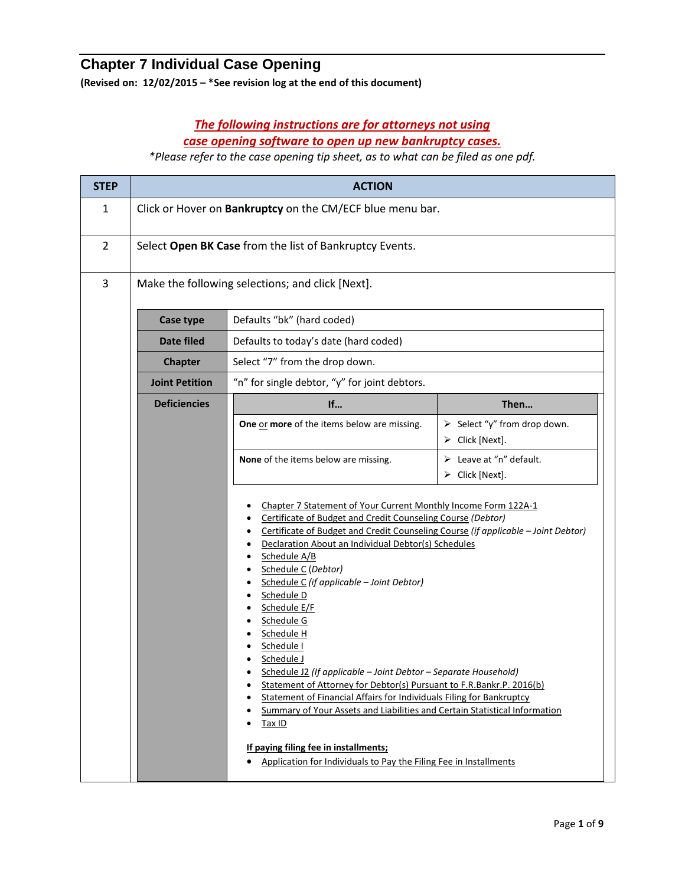## **Chapter 7 Individual Case Opening**

**(Revised on: 12/02/2015 – \*See revision log at the end of this document)**

## *The following instructions are for attorneys not using case opening software to open up new bankruptcy cases.*

*\*Please refer to the case opening tip sheet, as to what can be filed as one pdf.*

| <b>STEP</b>                                                                                                                              | <b>ACTION</b>                                                          |                                                                                                                                                                                                                                                                                                                                                                                                                                                                                                                                                                                                                                                                                                                                       |                                                                   |  |
|------------------------------------------------------------------------------------------------------------------------------------------|------------------------------------------------------------------------|---------------------------------------------------------------------------------------------------------------------------------------------------------------------------------------------------------------------------------------------------------------------------------------------------------------------------------------------------------------------------------------------------------------------------------------------------------------------------------------------------------------------------------------------------------------------------------------------------------------------------------------------------------------------------------------------------------------------------------------|-------------------------------------------------------------------|--|
| $\mathbf{1}$                                                                                                                             | Click or Hover on Bankruptcy on the CM/ECF blue menu bar.              |                                                                                                                                                                                                                                                                                                                                                                                                                                                                                                                                                                                                                                                                                                                                       |                                                                   |  |
| $\overline{2}$                                                                                                                           | Select Open BK Case from the list of Bankruptcy Events.                |                                                                                                                                                                                                                                                                                                                                                                                                                                                                                                                                                                                                                                                                                                                                       |                                                                   |  |
| 3                                                                                                                                        | Make the following selections; and click [Next].                       |                                                                                                                                                                                                                                                                                                                                                                                                                                                                                                                                                                                                                                                                                                                                       |                                                                   |  |
|                                                                                                                                          | Case type                                                              | Defaults "bk" (hard coded)                                                                                                                                                                                                                                                                                                                                                                                                                                                                                                                                                                                                                                                                                                            |                                                                   |  |
|                                                                                                                                          | <b>Date filed</b>                                                      | Defaults to today's date (hard coded)                                                                                                                                                                                                                                                                                                                                                                                                                                                                                                                                                                                                                                                                                                 |                                                                   |  |
|                                                                                                                                          | <b>Chapter</b>                                                         | Select "7" from the drop down.                                                                                                                                                                                                                                                                                                                                                                                                                                                                                                                                                                                                                                                                                                        |                                                                   |  |
|                                                                                                                                          | "n" for single debtor, "y" for joint debtors.<br><b>Joint Petition</b> |                                                                                                                                                                                                                                                                                                                                                                                                                                                                                                                                                                                                                                                                                                                                       |                                                                   |  |
|                                                                                                                                          | <b>Deficiencies</b>                                                    | If                                                                                                                                                                                                                                                                                                                                                                                                                                                                                                                                                                                                                                                                                                                                    | Then                                                              |  |
|                                                                                                                                          |                                                                        | One or more of the items below are missing.                                                                                                                                                                                                                                                                                                                                                                                                                                                                                                                                                                                                                                                                                           | $\triangleright$ Select "y" from drop down.<br>Click [Next].<br>➤ |  |
|                                                                                                                                          | None of the items below are missing.<br>$\triangleright$ Click [Next]. |                                                                                                                                                                                                                                                                                                                                                                                                                                                                                                                                                                                                                                                                                                                                       | $\triangleright$ Leave at "n" default.                            |  |
| Schedule A/B<br>Schedule C (Debtor)<br>Schedule D<br>Schedule E/F<br>Schedule G<br>Schedule H<br>Schedule I<br>Schedule J<br>Tax ID<br>٠ |                                                                        | Chapter 7 Statement of Your Current Monthly Income Form 122A-1<br>Certificate of Budget and Credit Counseling Course (Debtor)<br>Certificate of Budget and Credit Counseling Course (if applicable - Joint Debtor)<br>Declaration About an Individual Debtor(s) Schedules<br>Schedule C (if applicable - Joint Debtor)<br>Schedule J2 (If applicable - Joint Debtor - Separate Household)<br>Statement of Attorney for Debtor(s) Pursuant to F.R.Bankr.P. 2016(b)<br>Statement of Financial Affairs for Individuals Filing for Bankruptcy<br>Summary of Your Assets and Liabilities and Certain Statistical Information<br>If paying filing fee in installments;<br>Application for Individuals to Pay the Filing Fee in Installments |                                                                   |  |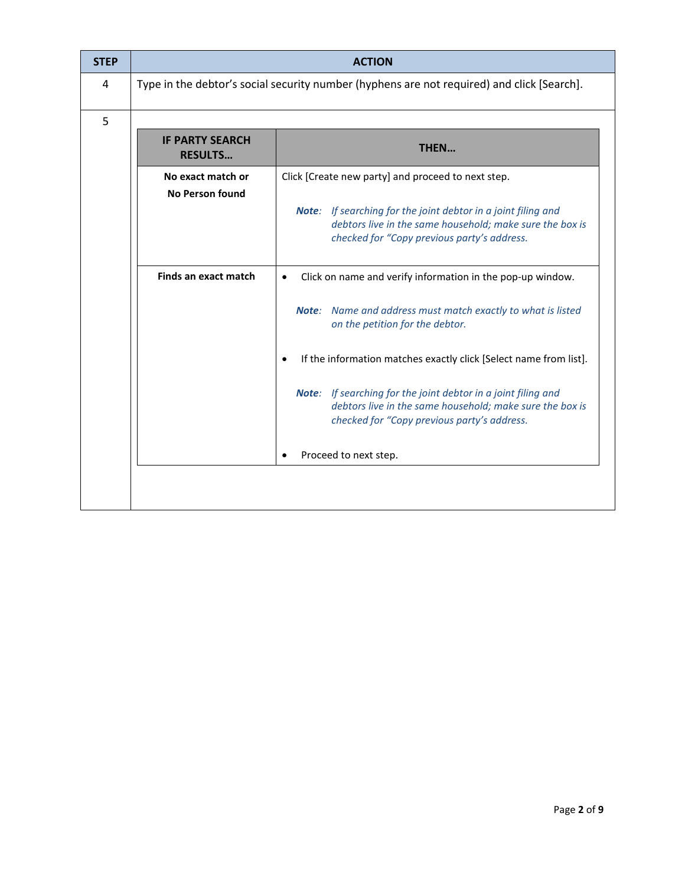| <b>STEP</b> | <b>ACTION</b>                                                                              |                                                                                                                                                                             |  |  |
|-------------|--------------------------------------------------------------------------------------------|-----------------------------------------------------------------------------------------------------------------------------------------------------------------------------|--|--|
| 4           | Type in the debtor's social security number (hyphens are not required) and click [Search]. |                                                                                                                                                                             |  |  |
| 5           |                                                                                            |                                                                                                                                                                             |  |  |
|             | <b>IF PARTY SEARCH</b><br><b>RESULTS</b>                                                   | THEN                                                                                                                                                                        |  |  |
|             | No exact match or<br><b>No Person found</b>                                                | Click [Create new party] and proceed to next step.                                                                                                                          |  |  |
|             |                                                                                            | Note: If searching for the joint debtor in a joint filing and<br>debtors live in the same household; make sure the box is<br>checked for "Copy previous party's address.    |  |  |
|             | Finds an exact match                                                                       | Click on name and verify information in the pop-up window.<br>$\bullet$                                                                                                     |  |  |
|             |                                                                                            | Note: Name and address must match exactly to what is listed<br>on the petition for the debtor.                                                                              |  |  |
|             |                                                                                            | If the information matches exactly click [Select name from list].<br>$\bullet$                                                                                              |  |  |
|             |                                                                                            | If searching for the joint debtor in a joint filing and<br>Note:<br>debtors live in the same household; make sure the box is<br>checked for "Copy previous party's address. |  |  |
|             | Proceed to next step.                                                                      |                                                                                                                                                                             |  |  |
|             |                                                                                            |                                                                                                                                                                             |  |  |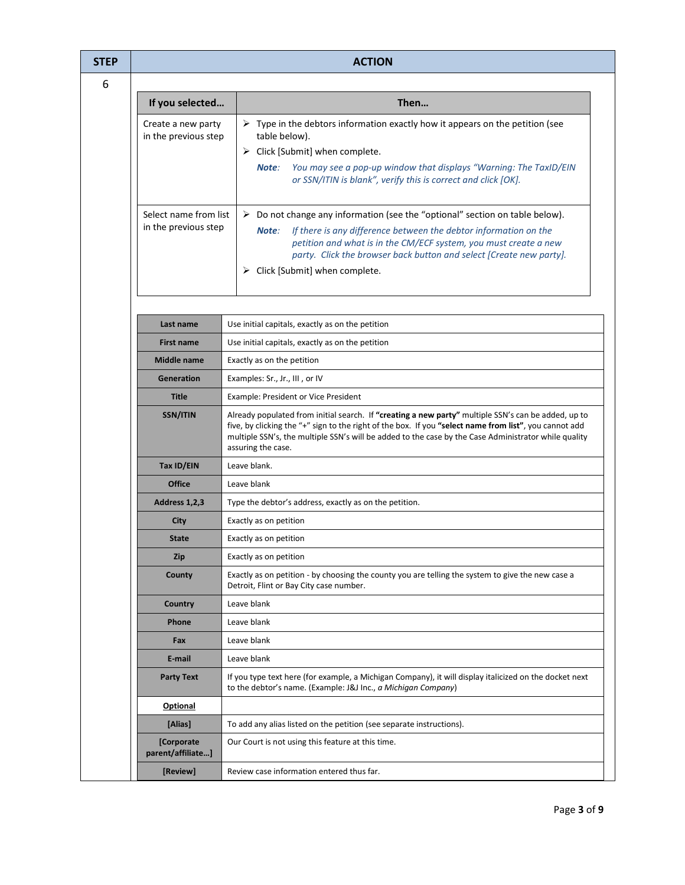| <b>ACTION</b>                                                                                                                                                                    |                                                                                                                                                                                                                                                                                                                                                                       |       |             |
|----------------------------------------------------------------------------------------------------------------------------------------------------------------------------------|-----------------------------------------------------------------------------------------------------------------------------------------------------------------------------------------------------------------------------------------------------------------------------------------------------------------------------------------------------------------------|-------|-------------|
|                                                                                                                                                                                  |                                                                                                                                                                                                                                                                                                                                                                       |       |             |
| If you selected                                                                                                                                                                  | Then                                                                                                                                                                                                                                                                                                                                                                  |       |             |
| Create a new party<br>in the previous step                                                                                                                                       | $\triangleright$ Type in the debtors information exactly how it appears on the petition (see<br>table below).<br>$\triangleright$ Click [Submit] when complete.<br>You may see a pop-up window that displays "Warning: The TaxID/EIN<br>Note:<br>or SSN/ITIN is blank", verify this is correct and click [OK].                                                        |       |             |
| Select name from list<br>in the previous step                                                                                                                                    | $\triangleright$ Do not change any information (see the "optional" section on table below).<br>If there is any difference between the debtor information on the<br>Note:<br>petition and what is in the CM/ECF system, you must create a new<br>party. Click the browser back button and select [Create new party].<br>$\triangleright$ Click [Submit] when complete. |       |             |
| Last name                                                                                                                                                                        | Use initial capitals, exactly as on the petition                                                                                                                                                                                                                                                                                                                      |       |             |
| Use initial capitals, exactly as on the petition<br><b>First name</b>                                                                                                            |                                                                                                                                                                                                                                                                                                                                                                       |       |             |
| Middle name                                                                                                                                                                      | Exactly as on the petition                                                                                                                                                                                                                                                                                                                                            |       |             |
| Generation                                                                                                                                                                       | Examples: Sr., Jr., III, or IV                                                                                                                                                                                                                                                                                                                                        |       |             |
| <b>Title</b>                                                                                                                                                                     | Example: President or Vice President                                                                                                                                                                                                                                                                                                                                  |       |             |
| SSN/ITIN                                                                                                                                                                         | Already populated from initial search. If "creating a new party" multiple SSN's can be added, up to<br>five, by clicking the "+" sign to the right of the box. If you "select name from list", you cannot add<br>multiple SSN's, the multiple SSN's will be added to the case by the Case Administrator while quality<br>assuring the case.                           |       |             |
| Tax ID/EIN                                                                                                                                                                       | Leave blank.                                                                                                                                                                                                                                                                                                                                                          |       |             |
| <b>Office</b>                                                                                                                                                                    | Leave blank                                                                                                                                                                                                                                                                                                                                                           |       |             |
| Address 1,2,3                                                                                                                                                                    | Type the debtor's address, exactly as on the petition.                                                                                                                                                                                                                                                                                                                |       |             |
| City                                                                                                                                                                             | Exactly as on petition                                                                                                                                                                                                                                                                                                                                                |       |             |
| <b>State</b>                                                                                                                                                                     | Exactly as on petition                                                                                                                                                                                                                                                                                                                                                |       |             |
| <b>Zip</b>                                                                                                                                                                       | Exactly as on petition                                                                                                                                                                                                                                                                                                                                                |       |             |
| Exactly as on petition - by choosing the county you are telling the system to give the new case a<br>County<br>Detroit, Flint or Bay City case number.<br>Leave blank<br>Country |                                                                                                                                                                                                                                                                                                                                                                       |       |             |
|                                                                                                                                                                                  |                                                                                                                                                                                                                                                                                                                                                                       | Phone | Leave blank |
| Fax                                                                                                                                                                              | Leave blank                                                                                                                                                                                                                                                                                                                                                           |       |             |
| E-mail                                                                                                                                                                           | Leave blank                                                                                                                                                                                                                                                                                                                                                           |       |             |
| <b>Party Text</b>                                                                                                                                                                | If you type text here (for example, a Michigan Company), it will display italicized on the docket next<br>to the debtor's name. (Example: J&J Inc., a Michigan Company)                                                                                                                                                                                               |       |             |
| <b>Optional</b>                                                                                                                                                                  |                                                                                                                                                                                                                                                                                                                                                                       |       |             |
| [Alias]                                                                                                                                                                          | To add any alias listed on the petition (see separate instructions).                                                                                                                                                                                                                                                                                                  |       |             |
| [Corporate<br>parent/affiliate]                                                                                                                                                  | Our Court is not using this feature at this time.                                                                                                                                                                                                                                                                                                                     |       |             |
| [Review]                                                                                                                                                                         | Review case information entered thus far.                                                                                                                                                                                                                                                                                                                             |       |             |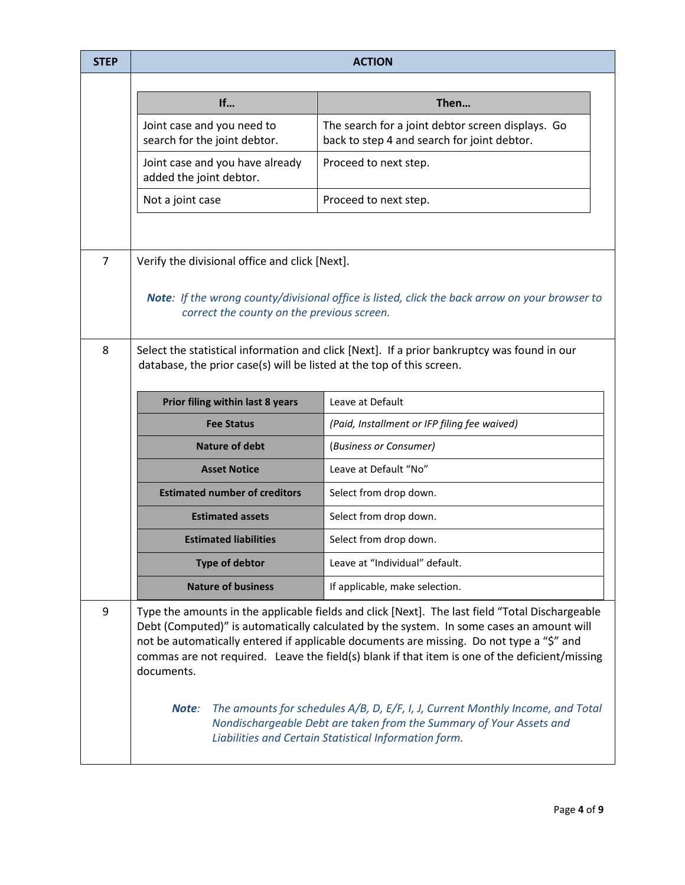| <b>STEP</b>    | <b>ACTION</b>                                                                                                                                                        |                                                                                                                                                                                                                                                                                                                                                                                                                                                                                                                                                                                                             |  |  |
|----------------|----------------------------------------------------------------------------------------------------------------------------------------------------------------------|-------------------------------------------------------------------------------------------------------------------------------------------------------------------------------------------------------------------------------------------------------------------------------------------------------------------------------------------------------------------------------------------------------------------------------------------------------------------------------------------------------------------------------------------------------------------------------------------------------------|--|--|
|                |                                                                                                                                                                      |                                                                                                                                                                                                                                                                                                                                                                                                                                                                                                                                                                                                             |  |  |
|                | If                                                                                                                                                                   | Then                                                                                                                                                                                                                                                                                                                                                                                                                                                                                                                                                                                                        |  |  |
|                | Joint case and you need to<br>search for the joint debtor.                                                                                                           | The search for a joint debtor screen displays. Go<br>back to step 4 and search for joint debtor.                                                                                                                                                                                                                                                                                                                                                                                                                                                                                                            |  |  |
|                | Joint case and you have already<br>added the joint debtor.                                                                                                           | Proceed to next step.                                                                                                                                                                                                                                                                                                                                                                                                                                                                                                                                                                                       |  |  |
|                | Not a joint case                                                                                                                                                     | Proceed to next step.                                                                                                                                                                                                                                                                                                                                                                                                                                                                                                                                                                                       |  |  |
|                |                                                                                                                                                                      |                                                                                                                                                                                                                                                                                                                                                                                                                                                                                                                                                                                                             |  |  |
| $\overline{7}$ | Verify the divisional office and click [Next].                                                                                                                       |                                                                                                                                                                                                                                                                                                                                                                                                                                                                                                                                                                                                             |  |  |
|                | Note: If the wrong county/divisional office is listed, click the back arrow on your browser to<br>correct the county on the previous screen.                         |                                                                                                                                                                                                                                                                                                                                                                                                                                                                                                                                                                                                             |  |  |
| 8              | Select the statistical information and click [Next]. If a prior bankruptcy was found in our<br>database, the prior case(s) will be listed at the top of this screen. |                                                                                                                                                                                                                                                                                                                                                                                                                                                                                                                                                                                                             |  |  |
|                | Prior filing within last 8 years                                                                                                                                     | Leave at Default                                                                                                                                                                                                                                                                                                                                                                                                                                                                                                                                                                                            |  |  |
|                | <b>Fee Status</b>                                                                                                                                                    | (Paid, Installment or IFP filing fee waived)                                                                                                                                                                                                                                                                                                                                                                                                                                                                                                                                                                |  |  |
|                | <b>Nature of debt</b>                                                                                                                                                | (Business or Consumer)                                                                                                                                                                                                                                                                                                                                                                                                                                                                                                                                                                                      |  |  |
|                | <b>Asset Notice</b>                                                                                                                                                  | Leave at Default "No"                                                                                                                                                                                                                                                                                                                                                                                                                                                                                                                                                                                       |  |  |
|                | <b>Estimated number of creditors</b>                                                                                                                                 | Select from drop down.                                                                                                                                                                                                                                                                                                                                                                                                                                                                                                                                                                                      |  |  |
|                | <b>Estimated assets</b>                                                                                                                                              | Select from drop down.                                                                                                                                                                                                                                                                                                                                                                                                                                                                                                                                                                                      |  |  |
|                | <b>Estimated liabilities</b>                                                                                                                                         | Select from drop down.                                                                                                                                                                                                                                                                                                                                                                                                                                                                                                                                                                                      |  |  |
|                | <b>Type of debtor</b>                                                                                                                                                | Leave at "Individual" default.                                                                                                                                                                                                                                                                                                                                                                                                                                                                                                                                                                              |  |  |
|                | <b>Nature of business</b>                                                                                                                                            | If applicable, make selection.                                                                                                                                                                                                                                                                                                                                                                                                                                                                                                                                                                              |  |  |
| 9              | documents.<br>Note:                                                                                                                                                  | Type the amounts in the applicable fields and click [Next]. The last field "Total Dischargeable<br>Debt (Computed)" is automatically calculated by the system. In some cases an amount will<br>not be automatically entered if applicable documents are missing. Do not type a "\$" and<br>commas are not required. Leave the field(s) blank if that item is one of the deficient/missing<br>The amounts for schedules A/B, D, E/F, I, J, Current Monthly Income, and Total<br>Nondischargeable Debt are taken from the Summary of Your Assets and<br>Liabilities and Certain Statistical Information form. |  |  |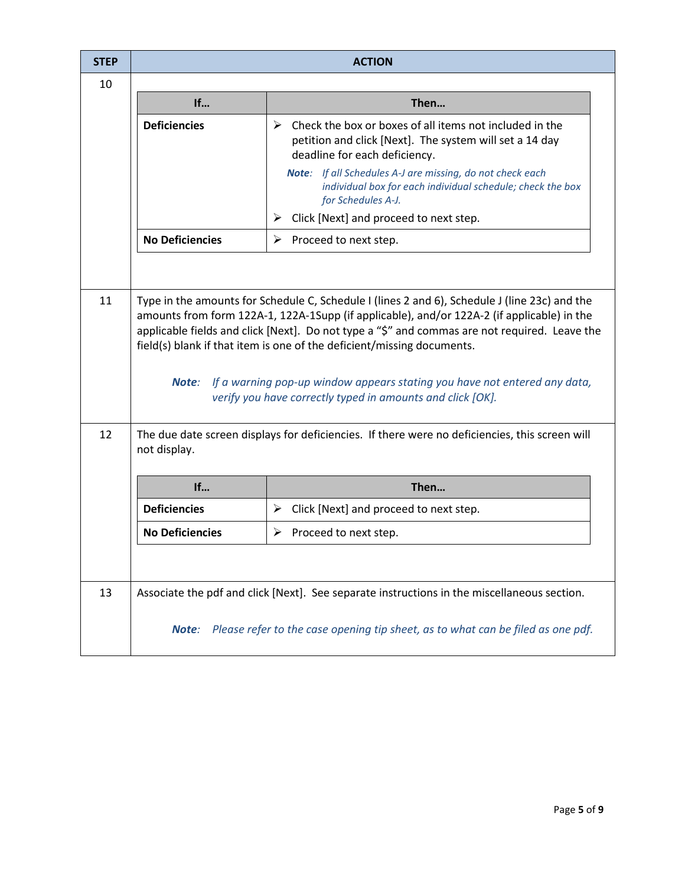| <b>STEP</b> | <b>ACTION</b>                                                                                                                                                                                                                                                                                                                                                                                                                                                                                                                  |                                                                                                                                                                      |  |
|-------------|--------------------------------------------------------------------------------------------------------------------------------------------------------------------------------------------------------------------------------------------------------------------------------------------------------------------------------------------------------------------------------------------------------------------------------------------------------------------------------------------------------------------------------|----------------------------------------------------------------------------------------------------------------------------------------------------------------------|--|
| 10          |                                                                                                                                                                                                                                                                                                                                                                                                                                                                                                                                |                                                                                                                                                                      |  |
|             | If                                                                                                                                                                                                                                                                                                                                                                                                                                                                                                                             | Then                                                                                                                                                                 |  |
|             | <b>Deficiencies</b>                                                                                                                                                                                                                                                                                                                                                                                                                                                                                                            | $\triangleright$ Check the box or boxes of all items not included in the<br>petition and click [Next]. The system will set a 14 day<br>deadline for each deficiency. |  |
|             |                                                                                                                                                                                                                                                                                                                                                                                                                                                                                                                                | Note: If all Schedules A-J are missing, do not check each<br>individual box for each individual schedule; check the box<br>for Schedules A-J.                        |  |
|             |                                                                                                                                                                                                                                                                                                                                                                                                                                                                                                                                | Click [Next] and proceed to next step.<br>➤                                                                                                                          |  |
|             | <b>No Deficiencies</b>                                                                                                                                                                                                                                                                                                                                                                                                                                                                                                         | $\triangleright$ Proceed to next step.                                                                                                                               |  |
|             |                                                                                                                                                                                                                                                                                                                                                                                                                                                                                                                                |                                                                                                                                                                      |  |
| 11          | Type in the amounts for Schedule C, Schedule I (lines 2 and 6), Schedule J (line 23c) and the<br>amounts from form 122A-1, 122A-1Supp (if applicable), and/or 122A-2 (if applicable) in the<br>applicable fields and click [Next]. Do not type a "\$" and commas are not required. Leave the<br>field(s) blank if that item is one of the deficient/missing documents.<br><b>Note:</b> If a warning pop-up window appears stating you have not entered any data,<br>verify you have correctly typed in amounts and click [OK]. |                                                                                                                                                                      |  |
| 12          | The due date screen displays for deficiencies. If there were no deficiencies, this screen will<br>not display.                                                                                                                                                                                                                                                                                                                                                                                                                 |                                                                                                                                                                      |  |
|             | If                                                                                                                                                                                                                                                                                                                                                                                                                                                                                                                             | Then                                                                                                                                                                 |  |
|             | <b>Deficiencies</b>                                                                                                                                                                                                                                                                                                                                                                                                                                                                                                            | $\triangleright$ Click [Next] and proceed to next step.                                                                                                              |  |
|             | <b>No Deficiencies</b>                                                                                                                                                                                                                                                                                                                                                                                                                                                                                                         | $\triangleright$ Proceed to next step.                                                                                                                               |  |
|             |                                                                                                                                                                                                                                                                                                                                                                                                                                                                                                                                |                                                                                                                                                                      |  |
| 13          |                                                                                                                                                                                                                                                                                                                                                                                                                                                                                                                                | Associate the pdf and click [Next]. See separate instructions in the miscellaneous section.                                                                          |  |
|             | Note:                                                                                                                                                                                                                                                                                                                                                                                                                                                                                                                          | Please refer to the case opening tip sheet, as to what can be filed as one pdf.                                                                                      |  |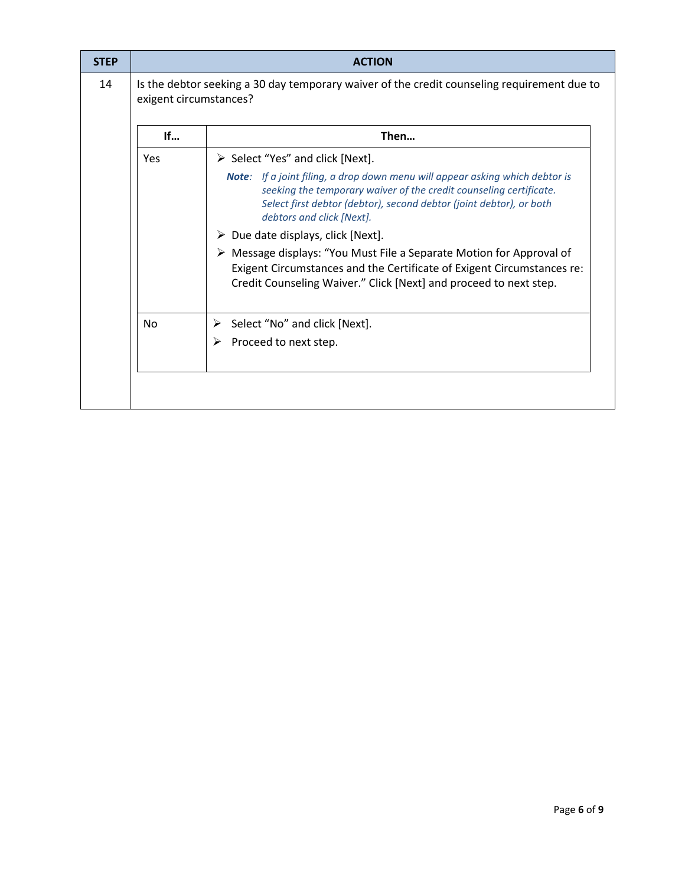| <b>STEP</b> |           | <b>ACTION</b>                                                                                                                                                                                                                                                 |
|-------------|-----------|---------------------------------------------------------------------------------------------------------------------------------------------------------------------------------------------------------------------------------------------------------------|
| 14          |           | Is the debtor seeking a 30 day temporary waiver of the credit counseling requirement due to<br>exigent circumstances?                                                                                                                                         |
|             | If        | Then                                                                                                                                                                                                                                                          |
|             | Yes       | $\triangleright$ Select "Yes" and click [Next].                                                                                                                                                                                                               |
|             |           | <b>Note:</b> If a joint filing, a drop down menu will appear asking which debtor is<br>seeking the temporary waiver of the credit counseling certificate.<br>Select first debtor (debtor), second debtor (joint debtor), or both<br>debtors and click [Next]. |
|             |           | $\triangleright$ Due date displays, click [Next].                                                                                                                                                                                                             |
|             |           | ▶ Message displays: "You Must File a Separate Motion for Approval of<br>Exigent Circumstances and the Certificate of Exigent Circumstances re:<br>Credit Counseling Waiver." Click [Next] and proceed to next step.                                           |
|             | <b>No</b> | Select "No" and click [Next].<br>➤                                                                                                                                                                                                                            |
|             |           | Proceed to next step.<br>➤                                                                                                                                                                                                                                    |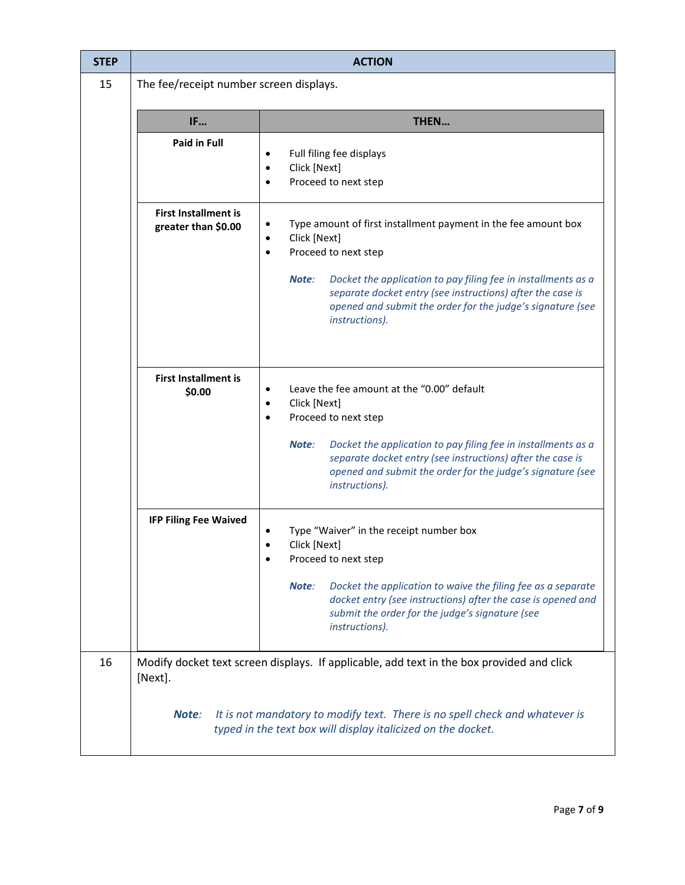| <b>STEP</b> | <b>ACTION</b>                                      |                                                                                                                                                                                                                                                                                                                                                                       |  |  |
|-------------|----------------------------------------------------|-----------------------------------------------------------------------------------------------------------------------------------------------------------------------------------------------------------------------------------------------------------------------------------------------------------------------------------------------------------------------|--|--|
| 15          | The fee/receipt number screen displays.            |                                                                                                                                                                                                                                                                                                                                                                       |  |  |
|             | IF                                                 | THEN                                                                                                                                                                                                                                                                                                                                                                  |  |  |
|             | <b>Paid in Full</b>                                | Full filing fee displays<br>$\bullet$<br>Click [Next]<br>$\bullet$<br>Proceed to next step<br>$\bullet$                                                                                                                                                                                                                                                               |  |  |
|             | <b>First Installment is</b><br>greater than \$0.00 | Type amount of first installment payment in the fee amount box<br>$\bullet$<br>Click [Next]<br>$\bullet$<br>Proceed to next step<br>$\bullet$<br>Note:<br>Docket the application to pay filing fee in installments as a<br>separate docket entry (see instructions) after the case is<br>opened and submit the order for the judge's signature (see<br>instructions). |  |  |
|             | <b>First Installment is</b><br>\$0.00              | Leave the fee amount at the "0.00" default<br>$\bullet$<br>Click [Next]<br>$\bullet$<br>Proceed to next step<br>$\bullet$<br>Docket the application to pay filing fee in installments as a<br>Note:<br>separate docket entry (see instructions) after the case is<br>opened and submit the order for the judge's signature (see<br>instructions).                     |  |  |
|             | <b>IFP Filing Fee Waived</b>                       | Type "Waiver" in the receipt number box<br>Click [Next]<br>Proceed to next step<br>Note:<br>Docket the application to waive the filing fee as a separate<br>docket entry (see instructions) after the case is opened and<br>submit the order for the judge's signature (see<br>instructions).                                                                         |  |  |
| 16          | [Next].                                            | Modify docket text screen displays. If applicable, add text in the box provided and click                                                                                                                                                                                                                                                                             |  |  |
|             | Note:                                              | It is not mandatory to modify text. There is no spell check and whatever is<br>typed in the text box will display italicized on the docket.                                                                                                                                                                                                                           |  |  |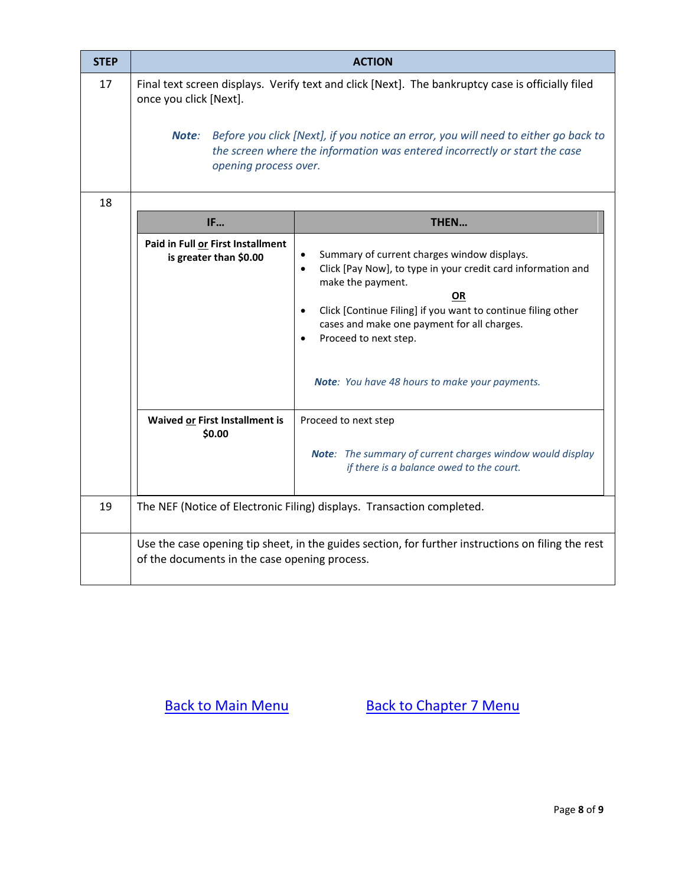| <b>STEP</b> | <b>ACTION</b>                                                                                                                                                                                                                                                                                                                      |                                                                                                                                                                                                                                                                                                                                                                                           |  |
|-------------|------------------------------------------------------------------------------------------------------------------------------------------------------------------------------------------------------------------------------------------------------------------------------------------------------------------------------------|-------------------------------------------------------------------------------------------------------------------------------------------------------------------------------------------------------------------------------------------------------------------------------------------------------------------------------------------------------------------------------------------|--|
| 17          | Final text screen displays. Verify text and click [Next]. The bankruptcy case is officially filed<br>once you click [Next].<br>Before you click [Next], if you notice an error, you will need to either go back to<br>Note:<br>the screen where the information was entered incorrectly or start the case<br>opening process over. |                                                                                                                                                                                                                                                                                                                                                                                           |  |
| 18          |                                                                                                                                                                                                                                                                                                                                    |                                                                                                                                                                                                                                                                                                                                                                                           |  |
|             | <b>IF</b>                                                                                                                                                                                                                                                                                                                          | THEN                                                                                                                                                                                                                                                                                                                                                                                      |  |
|             | Paid in Full or First Installment<br>is greater than \$0.00<br>Waived or First Installment is<br>\$0.00                                                                                                                                                                                                                            | Summary of current charges window displays.<br>Click [Pay Now], to type in your credit card information and<br>$\bullet$<br>make the payment.<br><b>OR</b><br>Click [Continue Filing] if you want to continue filing other<br>$\bullet$<br>cases and make one payment for all charges.<br>Proceed to next step.<br>Note: You have 48 hours to make your payments.<br>Proceed to next step |  |
|             |                                                                                                                                                                                                                                                                                                                                    | Note: The summary of current charges window would display<br>if there is a balance owed to the court.                                                                                                                                                                                                                                                                                     |  |
| 19          | The NEF (Notice of Electronic Filing) displays. Transaction completed.                                                                                                                                                                                                                                                             |                                                                                                                                                                                                                                                                                                                                                                                           |  |
|             | Use the case opening tip sheet, in the guides section, for further instructions on filing the rest<br>of the documents in the case opening process.                                                                                                                                                                                |                                                                                                                                                                                                                                                                                                                                                                                           |  |

[Back to Main Menu](http://www.mieb.uscourts.gov/cmecf-docketing-guides) [Back to Chapter 7 Menu](http://www.mieb.uscourts.gov/forattorney/chapter-7)